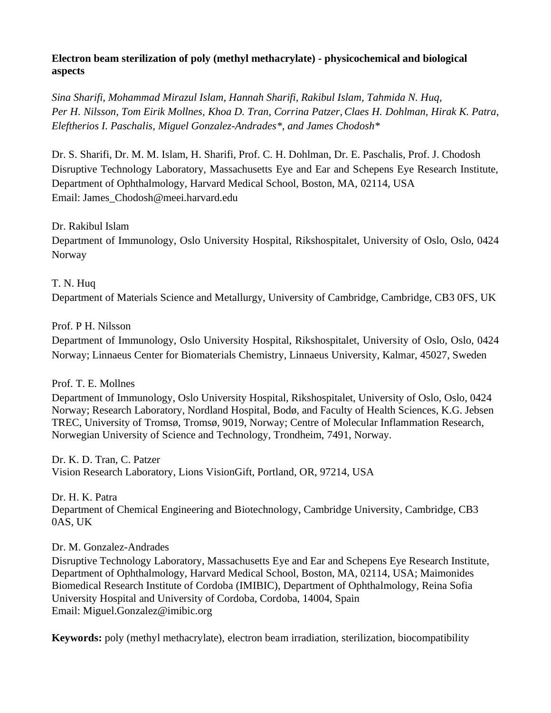# **Electron beam sterilization of poly (methyl methacrylate) - physicochemical and biological aspects**

*Sina Sharifi, Mohammad Mirazul Islam, Hannah Sharifi, Rakibul Islam, Tahmida N. Huq, Per H. Nilsson, Tom Eirik Mollnes, Khoa D. Tran, Corrina Patzer,Claes H. Dohlman, Hirak K. Patra, Eleftherios I. Paschalis, Miguel Gonzalez-Andrades\*, and James Chodosh\**

Dr. S. Sharifi, Dr. M. M. Islam, H. Sharifi, Prof. C. H. Dohlman, Dr. E. Paschalis, Prof. J. Chodosh Disruptive Technology Laboratory, Massachusetts Eye and Ear and Schepens Eye Research Institute, Department of Ophthalmology, Harvard Medical School, Boston, MA, 02114, USA Email: James\_Chodosh@meei.harvard.edu

Dr. Rakibul Islam

Department of Immunology, Oslo University Hospital, Rikshospitalet, University of Oslo, Oslo, 0424 **Norway** 

T. N. Huq Department of Materials Science and Metallurgy, University of Cambridge, Cambridge, CB3 0FS, UK

# Prof. P H. Nilsson

Department of Immunology, Oslo University Hospital, Rikshospitalet, University of Oslo, Oslo, 0424 Norway; Linnaeus Center for Biomaterials Chemistry, Linnaeus University, Kalmar, 45027, Sweden

Prof. T. E. Mollnes

Department of Immunology, Oslo University Hospital, Rikshospitalet, University of Oslo, Oslo, 0424 Norway; Research Laboratory, Nordland Hospital, Bodø, and Faculty of Health Sciences, K.G. Jebsen TREC, University of Tromsø, Tromsø, 9019, Norway; Centre of Molecular Inflammation Research, Norwegian University of Science and Technology, Trondheim, 7491, Norway.

Dr. K. D. Tran, C. Patzer Vision Research Laboratory, Lions VisionGift, Portland, OR, 97214, USA

Dr. H. K. Patra Department of Chemical Engineering and Biotechnology, Cambridge University, Cambridge, CB3 0AS, UK

# Dr. M. Gonzalez-Andrades

Disruptive Technology Laboratory, Massachusetts Eye and Ear and Schepens Eye Research Institute, Department of Ophthalmology, Harvard Medical School, Boston, MA, 02114, USA; Maimonides Biomedical Research Institute of Cordoba (IMIBIC), Department of Ophthalmology, Reina Sofia University Hospital and University of Cordoba, Cordoba, 14004, Spain Email: Miguel.Gonzalez@imibic.org

**Keywords:** poly (methyl methacrylate), electron beam irradiation, sterilization, biocompatibility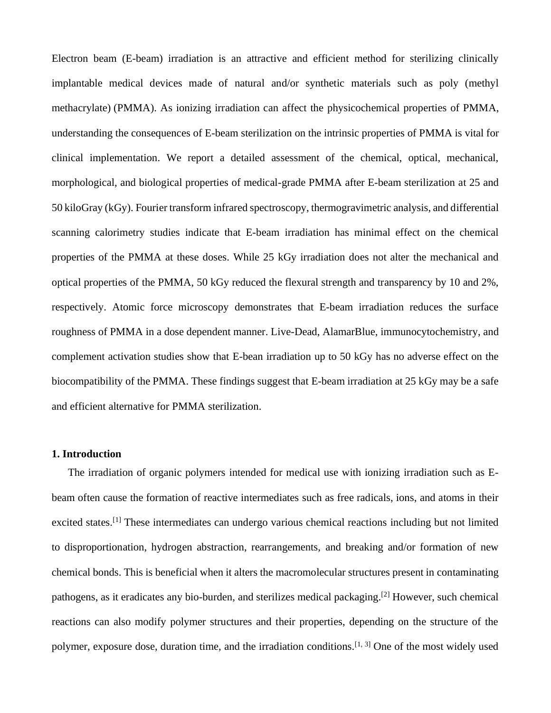Electron beam (E-beam) irradiation is an attractive and efficient method for sterilizing clinically implantable medical devices made of natural and/or synthetic materials such as poly (methyl methacrylate) (PMMA). As ionizing irradiation can affect the physicochemical properties of PMMA, understanding the consequences of E-beam sterilization on the intrinsic properties of PMMA is vital for clinical implementation. We report a detailed assessment of the chemical, optical, mechanical, morphological, and biological properties of medical-grade PMMA after E-beam sterilization at 25 and 50 kiloGray (kGy). Fourier transform infrared spectroscopy, thermogravimetric analysis, and differential scanning calorimetry studies indicate that E-beam irradiation has minimal effect on the chemical properties of the PMMA at these doses. While 25 kGy irradiation does not alter the mechanical and optical properties of the PMMA, 50 kGy reduced the flexural strength and transparency by 10 and 2%, respectively. Atomic force microscopy demonstrates that E-beam irradiation reduces the surface roughness of PMMA in a dose dependent manner. Live-Dead, AlamarBlue, immunocytochemistry, and complement activation studies show that E-bean irradiation up to 50 kGy has no adverse effect on the biocompatibility of the PMMA. These findings suggest that E-beam irradiation at 25 kGy may be a safe and efficient alternative for PMMA sterilization.

#### **1. Introduction**

The irradiation of organic polymers intended for medical use with ionizing irradiation such as Ebeam often cause the formation of reactive intermediates such as free radicals, ions, and atoms in their excited states.[1] These intermediates can undergo various chemical reactions including but not limited to disproportionation, hydrogen abstraction, rearrangements, and breaking and/or formation of new chemical bonds. This is beneficial when it alters the macromolecular structures present in contaminating pathogens, as it eradicates any bio-burden, and sterilizes medical packaging.[2] However, such chemical reactions can also modify polymer structures and their properties, depending on the structure of the polymer, exposure dose, duration time, and the irradiation conditions.[1, 3] One of the most widely used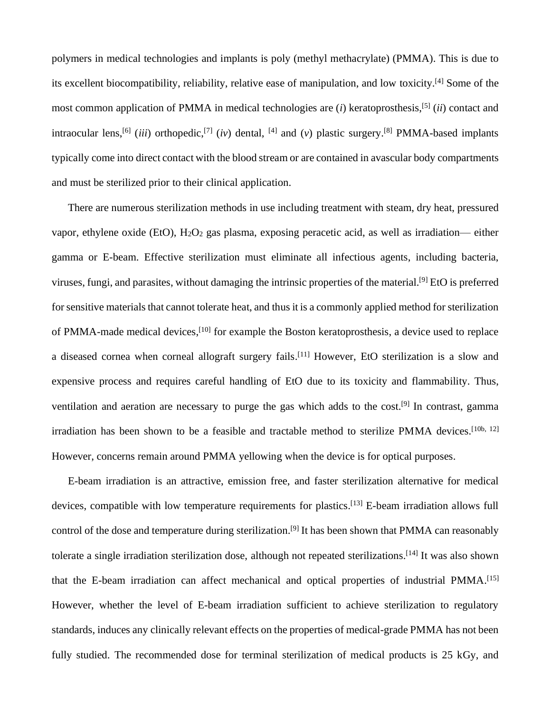polymers in medical technologies and implants is poly (methyl methacrylate) (PMMA). This is due to its excellent biocompatibility, reliability, relative ease of manipulation, and low toxicity.[4] Some of the most common application of PMMA in medical technologies are (*i*) keratoprosthesis, [5] (*ii*) contact and intraocular lens, [6] (*iii*) orthopedic, [7] (*iv*) dental, [4] and (*v*) plastic surgery. [8] PMMA-based implants typically come into direct contact with the blood stream or are contained in avascular body compartments and must be sterilized prior to their clinical application.

There are numerous sterilization methods in use including treatment with steam, dry heat, pressured vapor, ethylene oxide (EtO), H2O<sup>2</sup> gas plasma, exposing peracetic acid, as well as irradiation— either gamma or E-beam. Effective sterilization must eliminate all infectious agents, including bacteria, viruses, fungi, and parasites, without damaging the intrinsic properties of the material.<sup>[9]</sup> EtO is preferred for sensitive materials that cannot tolerate heat, and thus it is a commonly applied method for sterilization of PMMA-made medical devices,<sup>[10]</sup> for example the Boston keratoprosthesis, a device used to replace a diseased cornea when corneal allograft surgery fails.<sup>[11]</sup> However, EtO sterilization is a slow and expensive process and requires careful handling of EtO due to its toxicity and flammability. Thus, ventilation and aeration are necessary to purge the gas which adds to the cost.<sup>[9]</sup> In contrast, gamma irradiation has been shown to be a feasible and tractable method to sterilize PMMA devices.<sup>[10b, 12]</sup> However, concerns remain around PMMA yellowing when the device is for optical purposes.

E-beam irradiation is an attractive, emission free, and faster sterilization alternative for medical devices, compatible with low temperature requirements for plastics. [13] E-beam irradiation allows full control of the dose and temperature during sterilization.<sup>[9]</sup> It has been shown that PMMA can reasonably tolerate a single irradiation sterilization dose, although not repeated sterilizations.<sup>[14]</sup> It was also shown that the E-beam irradiation can affect mechanical and optical properties of industrial PMMA.<sup>[15]</sup> However, whether the level of E-beam irradiation sufficient to achieve sterilization to regulatory standards, induces any clinically relevant effects on the properties of medical-grade PMMA has not been fully studied. The recommended dose for terminal sterilization of medical products is 25 kGy, and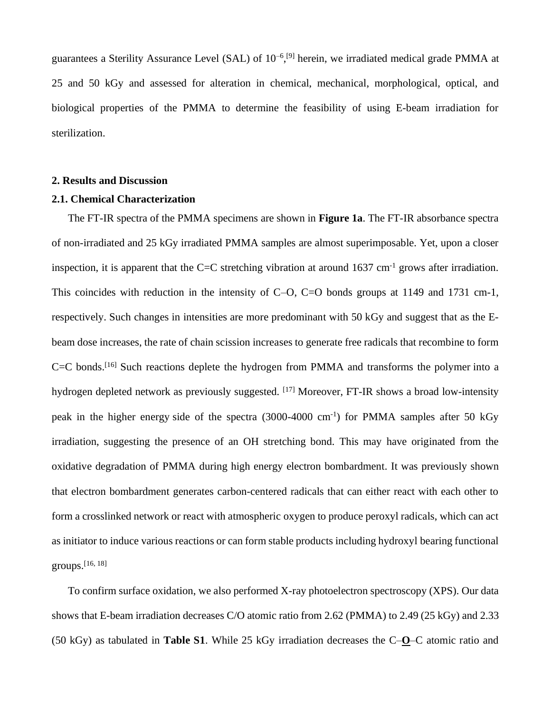guarantees a Sterility Assurance Level (SAL) of  $10^{-6}$ ,<sup>[9]</sup> herein, we irradiated medical grade PMMA at 25 and 50 kGy and assessed for alteration in chemical, mechanical, morphological, optical, and biological properties of the PMMA to determine the feasibility of using E-beam irradiation for sterilization.

## **2. Results and Discussion**

## **2.1. Chemical Characterization**

The FT-IR spectra of the PMMA specimens are shown in **Figure 1a**. The FT-IR absorbance spectra of non-irradiated and 25 kGy irradiated PMMA samples are almost superimposable. Yet, upon a closer inspection, it is apparent that the C=C stretching vibration at around  $1637 \text{ cm}^{-1}$  grows after irradiation. This coincides with reduction in the intensity of  $C$ -O,  $C$ =O bonds groups at 1149 and 1731 cm-1, respectively. Such changes in intensities are more predominant with 50 kGy and suggest that as the Ebeam dose increases, the rate of chain scission increases to generate free radicals that recombine to form C=C bonds.<sup>[16]</sup> Such reactions deplete the hydrogen from PMMA and transforms the polymer into a hydrogen depleted network as previously suggested. [17] Moreover, FT-IR shows a broad low-intensity peak in the higher energy side of the spectra (3000-4000 cm<sup>-1</sup>) for PMMA samples after 50 kGy irradiation, suggesting the presence of an OH stretching bond. This may have originated from the oxidative degradation of PMMA during high energy electron bombardment. It was previously shown that electron bombardment generates carbon-centered radicals that can either react with each other to form a crosslinked network or react with atmospheric oxygen to produce peroxyl radicals, which can act as initiator to induce various reactions or can form stable products including hydroxyl bearing functional groups.[16, 18]

To confirm surface oxidation, we also performed X-ray photoelectron spectroscopy (XPS). Our data shows that E-beam irradiation decreases C/O atomic ratio from 2.62 (PMMA) to 2.49 (25 kGy) and 2.33 (50 kGy) as tabulated in **Table S1**. While 25 kGy irradiation decreases the C–**O**–C atomic ratio and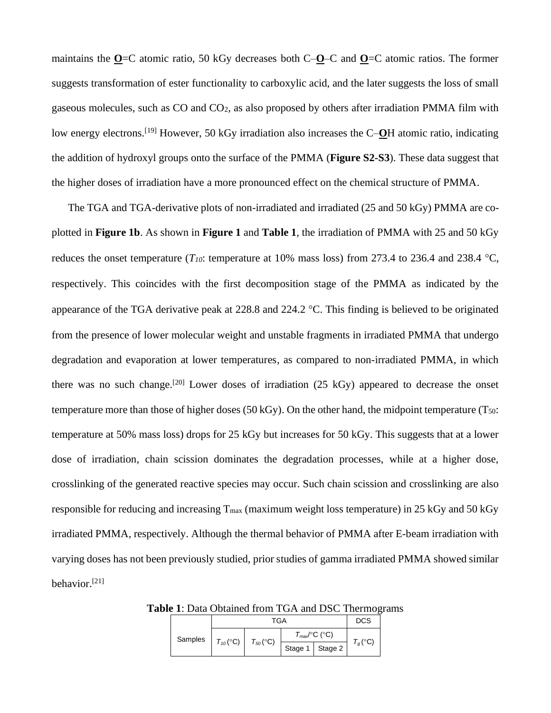maintains the **<u>O</u>**=C atomic ratio, 50 kGy decreases both C–**Q**–C and **Q**=C atomic ratios. The former suggests transformation of ester functionality to carboxylic acid, and the later suggests the loss of small gaseous molecules, such as CO and CO2, as also proposed by others after irradiation PMMA film with low energy electrons.[19] However, 50 kGy irradiation also increases the C–**O**H atomic ratio, indicating the addition of hydroxyl groups onto the surface of the PMMA (**Figure S2-S3**). These data suggest that the higher doses of irradiation have a more pronounced effect on the chemical structure of PMMA.

The TGA and TGA-derivative plots of non-irradiated and irradiated (25 and 50 kGy) PMMA are coplotted in **Figure 1b**. As shown in **Figure 1** and **Table 1**, the irradiation of PMMA with 25 and 50 kGy reduces the onset temperature ( $T_{10}$ : temperature at 10% mass loss) from 273.4 to 236.4 and 238.4 °C, respectively. This coincides with the first decomposition stage of the PMMA as indicated by the appearance of the TGA derivative peak at  $228.8$  and  $224.2$  °C. This finding is believed to be originated from the presence of lower molecular weight and unstable fragments in irradiated PMMA that undergo degradation and evaporation at lower temperatures, as compared to non-irradiated PMMA, in which there was no such change.<sup>[20]</sup> Lower doses of irradiation  $(25 \text{ kGy})$  appeared to decrease the onset temperature more than those of higher doses (50 kGy). On the other hand, the midpoint temperature ( $T_{50}$ : temperature at 50% mass loss) drops for 25 kGy but increases for 50 kGy. This suggests that at a lower dose of irradiation, chain scission dominates the degradation processes, while at a higher dose, crosslinking of the generated reactive species may occur. Such chain scission and crosslinking are also responsible for reducing and increasing  $T_{\text{max}}$  (maximum weight loss temperature) in 25 kGy and 50 kGy irradiated PMMA, respectively. Although the thermal behavior of PMMA after E-beam irradiation with varying doses has not been previously studied, prior studies of gamma irradiated PMMA showed similar behavior. [21]

|         |               | <b>DCS</b>    |                                     |                 |            |
|---------|---------------|---------------|-------------------------------------|-----------------|------------|
| Samples | $T_{10}$ (°C) | $T_{50}$ (°C) | $T_{max}/^{\circ}C$ ( $^{\circ}C$ ) |                 |            |
|         |               |               |                                     | Stage 1 Stage 2 | $T_g$ (°C) |

**Table 1**: Data Obtained from TGA and DSC Thermograms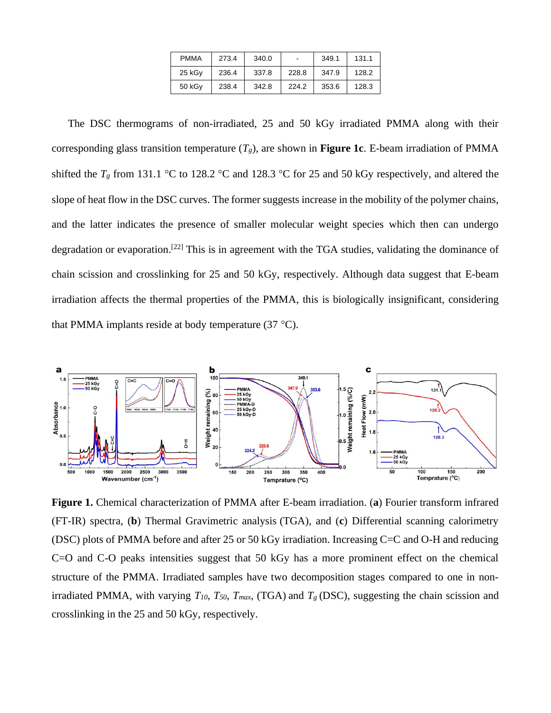| <b>PMMA</b> | 273.4 | 340.0 | $\overline{\phantom{a}}$ | 349.1 | 131.1 |
|-------------|-------|-------|--------------------------|-------|-------|
| 25 kGy      | 236.4 | 337.8 | 228.8                    | 347.9 | 128.2 |
| $50$ kG $v$ | 238.4 | 342.8 | 224.2                    | 353.6 | 128.3 |

The DSC thermograms of non-irradiated, 25 and 50 kGy irradiated PMMA along with their corresponding glass transition temperature  $(T_g)$ , are shown in **Figure 1c**. E-beam irradiation of PMMA shifted the  $T_g$  from 131.1 °C to 128.2 °C and 128.3 °C for 25 and 50 kGy respectively, and altered the slope of heat flow in the DSC curves. The former suggests increase in the mobility of the polymer chains, and the latter indicates the presence of smaller molecular weight species which then can undergo degradation or evaporation.<sup>[22]</sup> This is in agreement with the TGA studies, validating the dominance of chain scission and crosslinking for 25 and 50 kGy, respectively. Although data suggest that E-beam irradiation affects the thermal properties of the PMMA, this is biologically insignificant, considering that PMMA implants reside at body temperature  $(37 \text{ °C})$ .



**Figure 1.** Chemical characterization of PMMA after E-beam irradiation. (**a**) Fourier transform infrared (FT-IR) spectra, (**b**) Thermal Gravimetric analysis (TGA), and (**c**) Differential scanning calorimetry (DSC) plots of PMMA before and after 25 or 50 kGy irradiation. Increasing C=C and O-H and reducing C=O and C-O peaks intensities suggest that 50 kGy has a more prominent effect on the chemical structure of the PMMA. Irradiated samples have two decomposition stages compared to one in nonirradiated PMMA, with varying *T10*, *T50*, *Tmax,* (TGA) and *Tg* (DSC), suggesting the chain scission and crosslinking in the 25 and 50 kGy, respectively.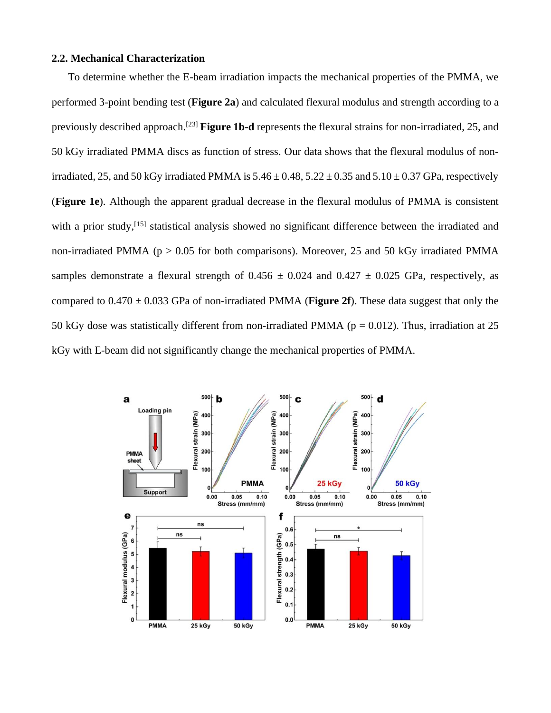#### **2.2. Mechanical Characterization**

To determine whether the E-beam irradiation impacts the mechanical properties of the PMMA, we performed 3-point bending test (**Figure 2a**) and calculated flexural modulus and strength according to a previously described approach. [23] **Figure 1b-d** represents the flexural strains for non-irradiated, 25, and 50 kGy irradiated PMMA discs as function of stress. Our data shows that the flexural modulus of nonirradiated, 25, and 50 kGy irradiated PMMA is  $5.46 \pm 0.48$ ,  $5.22 \pm 0.35$  and  $5.10 \pm 0.37$  GPa, respectively (**Figure 1e**). Although the apparent gradual decrease in the flexural modulus of PMMA is consistent with a prior study,<sup>[15]</sup> statistical analysis showed no significant difference between the irradiated and non-irradiated PMMA ( $p > 0.05$  for both comparisons). Moreover, 25 and 50 kGy irradiated PMMA samples demonstrate a flexural strength of  $0.456 \pm 0.024$  and  $0.427 \pm 0.025$  GPa, respectively, as compared to 0.470 ± 0.033 GPa of non-irradiated PMMA (**Figure 2f**). These data suggest that only the 50 kGy dose was statistically different from non-irradiated PMMA ( $p = 0.012$ ). Thus, irradiation at 25 kGy with E-beam did not significantly change the mechanical properties of PMMA.

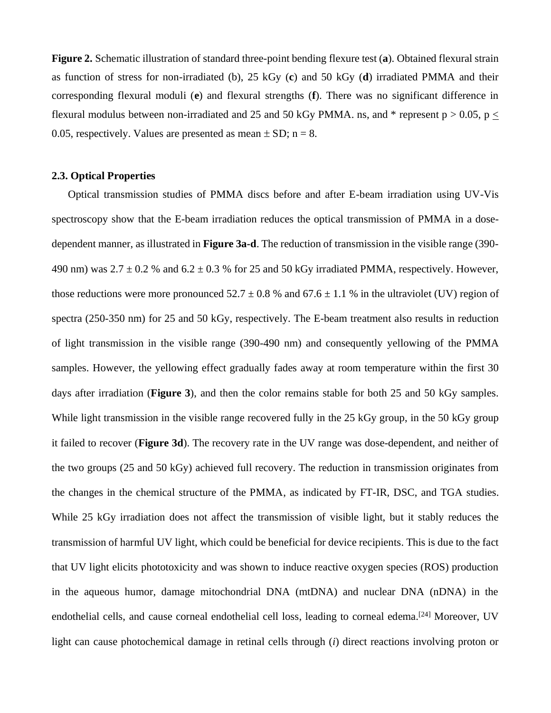**Figure 2.** Schematic illustration of standard three-point bending flexure test (**a**). Obtained flexural strain as function of stress for non-irradiated (b), 25 kGy (**c**) and 50 kGy (**d**) irradiated PMMA and their corresponding flexural moduli (**e**) and flexural strengths (**f**). There was no significant difference in flexural modulus between non-irradiated and 25 and 50 kGy PMMA. ns, and  $*$  represent  $p > 0.05$ ,  $p <$ 0.05, respectively. Values are presented as mean  $\pm$  SD; n = 8.

## **2.3. Optical Properties**

Optical transmission studies of PMMA discs before and after E-beam irradiation using UV-Vis spectroscopy show that the E-beam irradiation reduces the optical transmission of PMMA in a dosedependent manner, as illustrated in **Figure 3a-d**. The reduction of transmission in the visible range (390- 490 nm) was  $2.7 \pm 0.2$  % and  $6.2 \pm 0.3$  % for 25 and 50 kGy irradiated PMMA, respectively. However, those reductions were more pronounced  $52.7 \pm 0.8$  % and  $67.6 \pm 1.1$  % in the ultraviolet (UV) region of spectra (250-350 nm) for 25 and 50 kGy, respectively. The E-beam treatment also results in reduction of light transmission in the visible range (390-490 nm) and consequently yellowing of the PMMA samples. However, the yellowing effect gradually fades away at room temperature within the first 30 days after irradiation (**Figure 3**), and then the color remains stable for both 25 and 50 kGy samples. While light transmission in the visible range recovered fully in the 25 kGy group, in the 50 kGy group it failed to recover (**Figure 3d**). The recovery rate in the UV range was dose-dependent, and neither of the two groups (25 and 50 kGy) achieved full recovery. The reduction in transmission originates from the changes in the chemical structure of the PMMA, as indicated by FT-IR, DSC, and TGA studies. While 25 kGy irradiation does not affect the transmission of visible light, but it stably reduces the transmission of harmful UV light, which could be beneficial for device recipients. This is due to the fact that UV light elicits phototoxicity and was shown to induce reactive oxygen species (ROS) production in the aqueous humor, damage mitochondrial DNA (mtDNA) and nuclear DNA (nDNA) in the endothelial cells, and cause corneal endothelial cell loss, leading to corneal edema.<sup>[24]</sup> Moreover, UV light can cause photochemical damage in retinal cells through (*i*) direct reactions involving proton or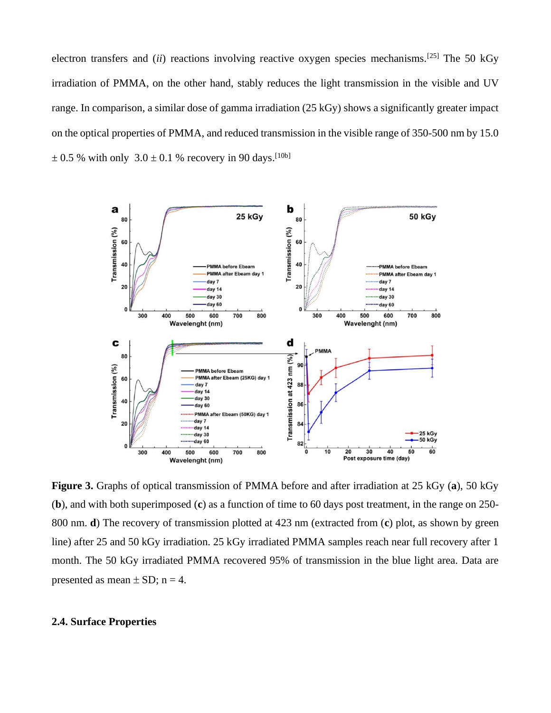electron transfers and (*ii*) reactions involving reactive oxygen species mechanisms.[25] The 50 kGy irradiation of PMMA, on the other hand, stably reduces the light transmission in the visible and UV range. In comparison, a similar dose of gamma irradiation (25 kGy) shows a significantly greater impact on the optical properties of PMMA, and reduced transmission in the visible range of 350-500 nm by 15.0  $\pm 0.5$  % with only  $3.0 \pm 0.1$  % recovery in 90 days.<sup>[10b]</sup>



**Figure 3.** Graphs of optical transmission of PMMA before and after irradiation at 25 kGy (**a**), 50 kGy (**b**), and with both superimposed (**c**) as a function of time to 60 days post treatment, in the range on 250- 800 nm. **d**) The recovery of transmission plotted at 423 nm (extracted from (**c**) plot, as shown by green line) after 25 and 50 kGy irradiation. 25 kGy irradiated PMMA samples reach near full recovery after 1 month. The 50 kGy irradiated PMMA recovered 95% of transmission in the blue light area. Data are presented as mean  $\pm$  SD; n = 4.

## **2.4. Surface Properties**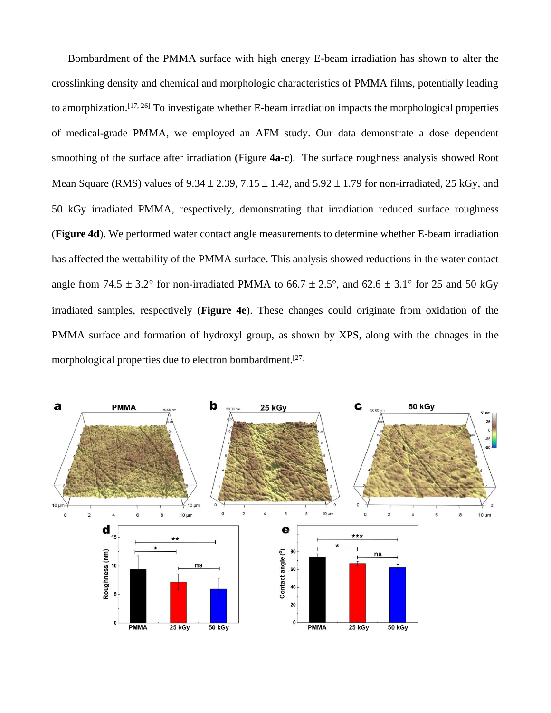Bombardment of the PMMA surface with high energy E-beam irradiation has shown to alter the crosslinking density and chemical and morphologic characteristics of PMMA films, potentially leading to amorphization.[17, 26] To investigate whether E-beam irradiation impacts the morphological properties of medical-grade PMMA, we employed an AFM study. Our data demonstrate a dose dependent smoothing of the surface after irradiation (Figure **4a-c**). The surface roughness analysis showed Root Mean Square (RMS) values of  $9.34 \pm 2.39$ ,  $7.15 \pm 1.42$ , and  $5.92 \pm 1.79$  for non-irradiated, 25 kGy, and 50 kGy irradiated PMMA, respectively, demonstrating that irradiation reduced surface roughness (**Figure 4d**). We performed water contact angle measurements to determine whether E-beam irradiation has affected the wettability of the PMMA surface. This analysis showed reductions in the water contact angle from 74.5  $\pm$  3.2° for non-irradiated PMMA to 66.7  $\pm$  2.5°, and 62.6  $\pm$  3.1° for 25 and 50 kGy irradiated samples, respectively (**Figure 4e**). These changes could originate from oxidation of the PMMA surface and formation of hydroxyl group, as shown by XPS, along with the chnages in the morphological properties due to electron bombardment.<sup>[27]</sup>

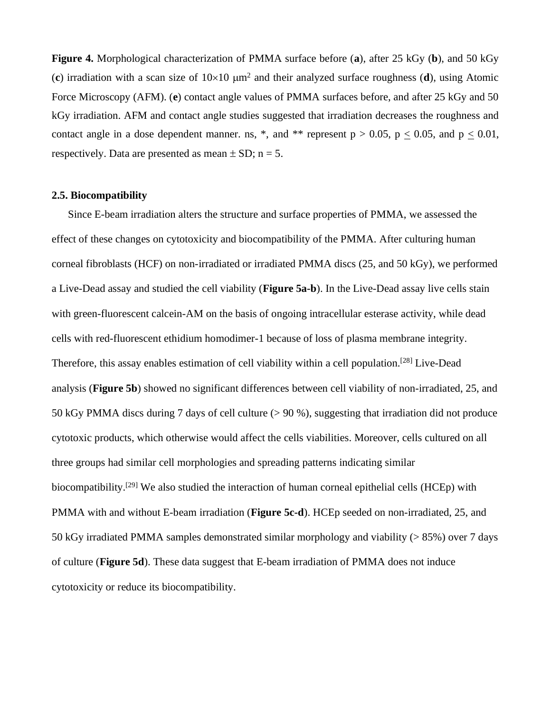**Figure 4.** Morphological characterization of PMMA surface before (**a**), after 25 kGy (**b**), and 50 kGy (c) irradiation with a scan size of  $10 \times 10 \mu m^2$  and their analyzed surface roughness (d), using Atomic Force Microscopy (AFM). (**e**) contact angle values of PMMA surfaces before, and after 25 kGy and 50 kGy irradiation. AFM and contact angle studies suggested that irradiation decreases the roughness and contact angle in a dose dependent manner. ns, \*, and \*\* represent  $p > 0.05$ ,  $p < 0.05$ , and  $p < 0.01$ , respectively. Data are presented as mean  $\pm$  SD; n = 5.

## **2.5. Biocompatibility**

Since E-beam irradiation alters the structure and surface properties of PMMA, we assessed the effect of these changes on cytotoxicity and biocompatibility of the PMMA. After culturing human corneal fibroblasts (HCF) on non-irradiated or irradiated PMMA discs (25, and 50 kGy), we performed a Live-Dead assay and studied the cell viability (**Figure 5a-b**). In the Live-Dead assay live cells stain with green-fluorescent calcein-AM on the basis of ongoing intracellular esterase activity, while dead cells with red-fluorescent ethidium homodimer-1 because of loss of plasma membrane integrity. Therefore, this assay enables estimation of cell viability within a cell population.<sup>[28]</sup> Live-Dead analysis (**Figure 5b**) showed no significant differences between cell viability of non-irradiated, 25, and 50 kGy PMMA discs during 7 days of cell culture (> 90 %), suggesting that irradiation did not produce cytotoxic products, which otherwise would affect the cells viabilities. Moreover, cells cultured on all three groups had similar cell morphologies and spreading patterns indicating similar biocompatibility.<sup>[29]</sup> We also studied the interaction of human corneal epithelial cells (HCEp) with PMMA with and without E-beam irradiation (**Figure 5c-d**). HCEp seeded on non-irradiated, 25, and 50 kGy irradiated PMMA samples demonstrated similar morphology and viability (> 85%) over 7 days of culture (**Figure 5d**). These data suggest that E-beam irradiation of PMMA does not induce cytotoxicity or reduce its biocompatibility.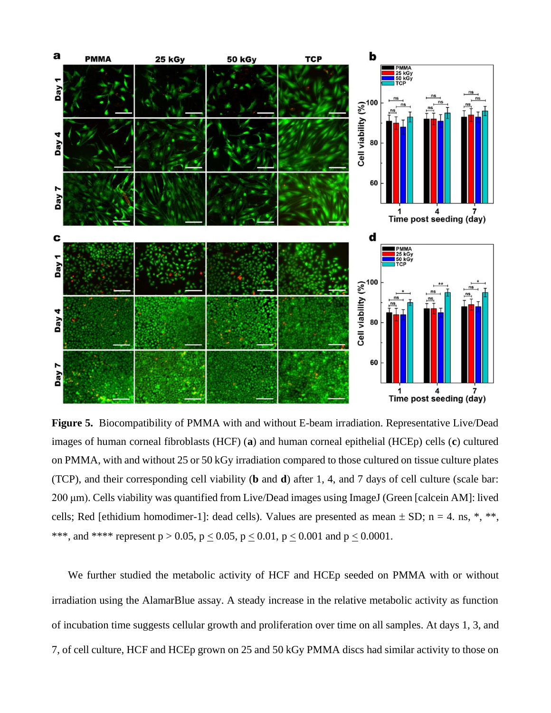

**Figure 5.** Biocompatibility of PMMA with and without E-beam irradiation. Representative Live/Dead images of human corneal fibroblasts (HCF) (**a**) and human corneal epithelial (HCEp) cells (**c**) cultured on PMMA, with and without 25 or 50 kGy irradiation compared to those cultured on tissue culture plates (TCP), and their corresponding cell viability (**b** and **d**) after 1, 4, and 7 days of cell culture (scale bar: 200 μm). Cells viability was quantified from Live/Dead images using ImageJ (Green [calcein AM]: lived cells; Red [ethidium homodimer-1]: dead cells). Values are presented as mean  $\pm$  SD; n = 4. ns, \*, \*\*, \*\*\*, and \*\*\*\* represent  $p > 0.05$ ,  $p < 0.05$ ,  $p < 0.01$ ,  $p < 0.001$  and  $p < 0.0001$ .

We further studied the metabolic activity of HCF and HCEp seeded on PMMA with or without irradiation using the AlamarBlue assay. A steady increase in the relative metabolic activity as function of incubation time suggests cellular growth and proliferation over time on all samples. At days 1, 3, and 7, of cell culture, HCF and HCEp grown on 25 and 50 kGy PMMA discs had similar activity to those on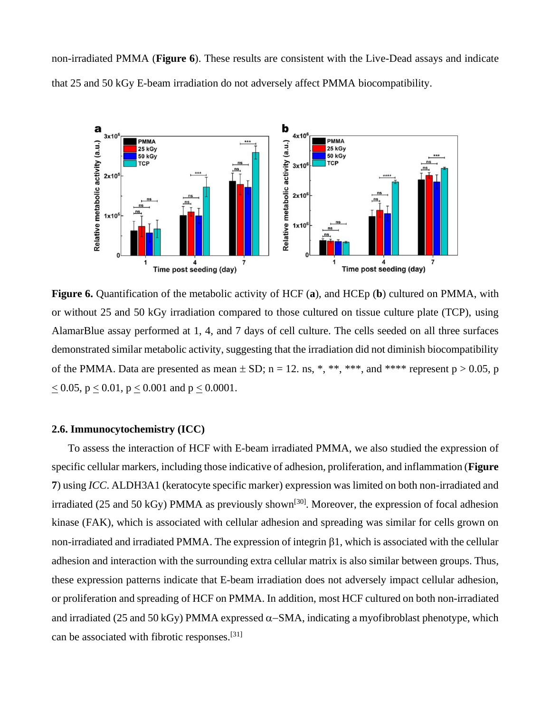non-irradiated PMMA (**Figure 6**). These results are consistent with the Live-Dead assays and indicate that 25 and 50 kGy E-beam irradiation do not adversely affect PMMA biocompatibility.



**Figure 6.** Quantification of the metabolic activity of HCF (**a**), and HCEp (**b**) cultured on PMMA, with or without 25 and 50 kGy irradiation compared to those cultured on tissue culture plate (TCP), using AlamarBlue assay performed at 1, 4, and 7 days of cell culture. The cells seeded on all three surfaces demonstrated similar metabolic activity, suggesting that the irradiation did not diminish biocompatibility of the PMMA. Data are presented as mean  $\pm$  SD; n = 12. ns, \*, \*\*, \*\*\*, and \*\*\*\* represent p > 0.05, p  $< 0.05$ ,  $p < 0.01$ ,  $p < 0.001$  and  $p < 0.0001$ .

## **2.6. Immunocytochemistry (ICC)**

To assess the interaction of HCF with E-beam irradiated PMMA, we also studied the expression of specific cellular markers, including those indicative of adhesion, proliferation, and inflammation (**Figure 7**) using *ICC*. ALDH3A1 (keratocyte specific marker) expression was limited on both non-irradiated and irradiated (25 and 50 kGy) PMMA as previously shown<sup>[30]</sup>. Moreover, the expression of focal adhesion kinase (FAK), which is associated with cellular adhesion and spreading was similar for cells grown on non-irradiated and irradiated PMMA. The expression of integrin  $\beta$ 1, which is associated with the cellular adhesion and interaction with the surrounding extra cellular matrix is also similar between groups. Thus, these expression patterns indicate that E-beam irradiation does not adversely impact cellular adhesion, or proliferation and spreading of HCF on PMMA. In addition, most HCF cultured on both non-irradiated and irradiated (25 and 50 kGy) PMMA expressed  $\alpha$ –SMA, indicating a myofibroblast phenotype, which can be associated with fibrotic responses.[31]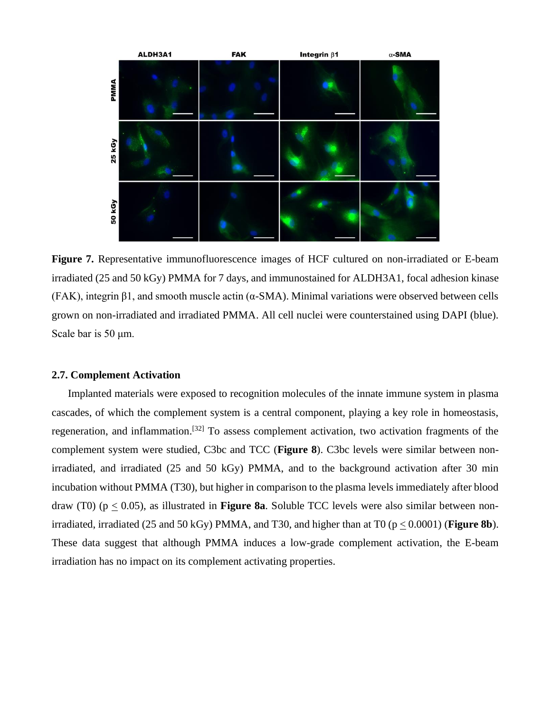

**Figure 7.** Representative immunofluorescence images of HCF cultured on non-irradiated or E-beam irradiated (25 and 50 kGy) PMMA for 7 days, and immunostained for ALDH3A1, focal adhesion kinase (FAK), integrin β1, and smooth muscle actin (α-SMA). Minimal variations were observed between cells grown on non-irradiated and irradiated PMMA. All cell nuclei were counterstained using DAPI (blue). Scale bar is 50 μm.

## **2.7. Complement Activation**

Implanted materials were exposed to recognition molecules of the innate immune system in plasma cascades, of which the complement system is a central component, playing a key role in homeostasis, regeneration, and inflammation.<sup>[32]</sup> To assess complement activation, two activation fragments of the complement system were studied, C3bc and TCC (**Figure 8**). C3bc levels were similar between nonirradiated, and irradiated (25 and 50 kGy) PMMA, and to the background activation after 30 min incubation without PMMA (T30), but higher in comparison to the plasma levels immediately after blood draw (T0) (p < 0.05), as illustrated in **Figure 8a**. Soluble TCC levels were also similar between nonirradiated, irradiated  $(25 \text{ and } 50 \text{ kGy})$  PMMA, and T30, and higher than at T0  $(p < 0.0001)$  (**Figure 8b**). These data suggest that although PMMA induces a low-grade complement activation, the E-beam irradiation has no impact on its complement activating properties.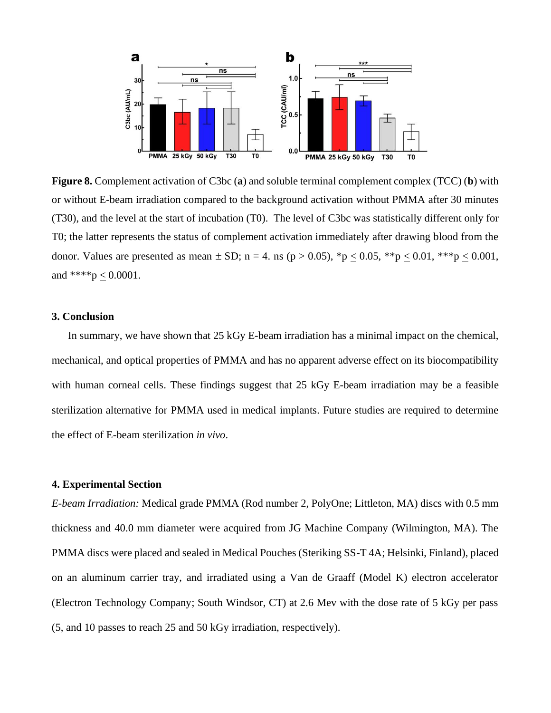

**Figure 8.** Complement activation of C3bc (**a**) and soluble terminal complement complex (TCC) (**b**) with or without E-beam irradiation compared to the background activation without PMMA after 30 minutes (T30), and the level at the start of incubation (T0). The level of C3bc was statistically different only for T0; the latter represents the status of complement activation immediately after drawing blood from the donor. Values are presented as mean  $\pm$  SD; n = 4. ns (p > 0.05), \*p < 0.05, \*\*p < 0.01, \*\*\*p < 0.001, and \*\*\*\*p  $\leq 0.0001$ .

## **3. Conclusion**

In summary, we have shown that 25 kGy E-beam irradiation has a minimal impact on the chemical, mechanical, and optical properties of PMMA and has no apparent adverse effect on its biocompatibility with human corneal cells. These findings suggest that 25 kGy E-beam irradiation may be a feasible sterilization alternative for PMMA used in medical implants. Future studies are required to determine the effect of E-beam sterilization *in vivo*.

## **4. Experimental Section**

*E-beam Irradiation:* Medical grade PMMA (Rod number 2, PolyOne; Littleton, MA) discs with 0.5 mm thickness and 40.0 mm diameter were acquired from JG Machine Company (Wilmington, MA). The PMMA discs were placed and sealed in Medical Pouches (Steriking SS-T 4A; Helsinki, Finland), placed on an aluminum carrier tray, and irradiated using a Van de Graaff (Model K) electron accelerator (Electron Technology Company; South Windsor, CT) at 2.6 Mev with the dose rate of 5 kGy per pass (5, and 10 passes to reach 25 and 50 kGy irradiation, respectively).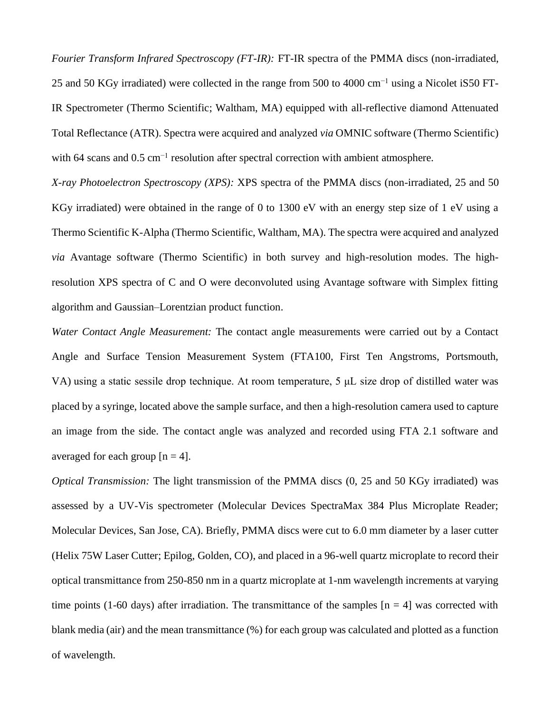*Fourier Transform Infrared Spectroscopy (FT-IR):* FT-IR spectra of the PMMA discs (non-irradiated, 25 and 50 KGy irradiated) were collected in the range from 500 to 4000 cm<sup>-1</sup> using a Nicolet iS50 FT-IR Spectrometer (Thermo Scientific; Waltham, MA) equipped with all-reflective diamond Attenuated Total Reflectance (ATR). Spectra were acquired and analyzed *via* OMNIC software (Thermo Scientific) with 64 scans and  $0.5 \text{ cm}^{-1}$  resolution after spectral correction with ambient atmosphere.

*X-ray Photoelectron Spectroscopy (XPS):* XPS spectra of the PMMA discs (non-irradiated, 25 and 50 KGy irradiated) were obtained in the range of 0 to 1300 eV with an energy step size of 1 eV using a Thermo Scientific K-Alpha (Thermo Scientific, Waltham, MA). The spectra were acquired and analyzed *via* Avantage software (Thermo Scientific) in both survey and high-resolution modes. The highresolution XPS spectra of C and O were deconvoluted using Avantage software with Simplex fitting algorithm and Gaussian–Lorentzian product function.

*Water Contact Angle Measurement:* The contact angle measurements were carried out by a Contact Angle and Surface Tension Measurement System (FTA100, First Ten Angstroms, Portsmouth, VA) using a static sessile drop technique. At room temperature, 5 μL size drop of distilled water was placed by a syringe, located above the sample surface, and then a high-resolution camera used to capture an image from the side. The contact angle was analyzed and recorded using FTA 2.1 software and averaged for each group  $[n = 4]$ .

*Optical Transmission:* The light transmission of the PMMA discs (0, 25 and 50 KGy irradiated) was assessed by a UV-Vis spectrometer (Molecular Devices SpectraMax 384 Plus Microplate Reader; Molecular Devices, San Jose, CA). Briefly, PMMA discs were cut to 6.0 mm diameter by a laser cutter (Helix 75W Laser Cutter; Epilog, Golden, CO), and placed in a 96-well quartz microplate to record their optical transmittance from 250-850 nm in a quartz microplate at 1-nm wavelength increments at varying time points (1-60 days) after irradiation. The transmittance of the samples  $[n = 4]$  was corrected with blank media (air) and the mean transmittance (%) for each group was calculated and plotted as a function of wavelength.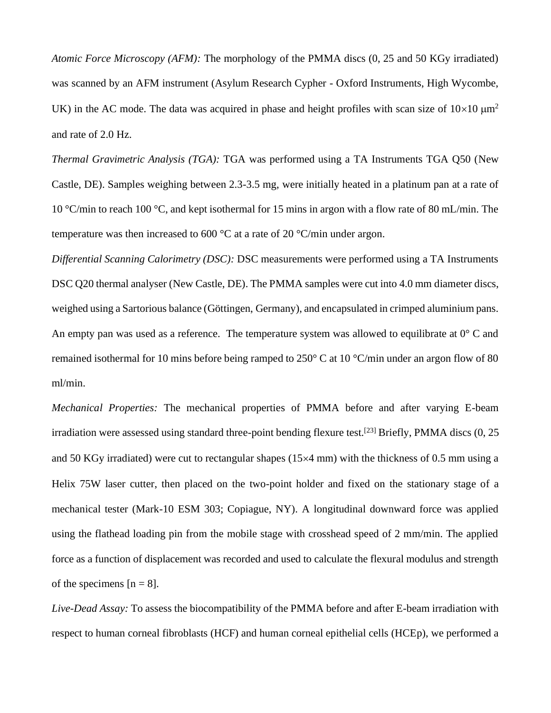*Atomic Force Microscopy (AFM):* The morphology of the PMMA discs (0, 25 and 50 KGy irradiated) was scanned by an AFM instrument (Asylum Research Cypher - Oxford Instruments, High Wycombe, UK) in the AC mode. The data was acquired in phase and height profiles with scan size of  $10\times10 \mu m^2$ and rate of 2.0 Hz.

*Thermal Gravimetric Analysis (TGA):* TGA was performed using a TA Instruments TGA Q50 (New Castle, DE). Samples weighing between 2.3-3.5 mg, were initially heated in a platinum pan at a rate of 10 °C/min to reach 100 °C, and kept isothermal for 15 mins in argon with a flow rate of 80 mL/min. The temperature was then increased to 600 °C at a rate of 20 °C/min under argon.

*Differential Scanning Calorimetry (DSC):* DSC measurements were performed using a TA Instruments DSC Q20 thermal analyser (New Castle, DE). The PMMA samples were cut into 4.0 mm diameter discs, weighed using a Sartorious balance (Göttingen, Germany), and encapsulated in crimped aluminium pans. An empty pan was used as a reference. The temperature system was allowed to equilibrate at  $0^{\circ}$  C and remained isothermal for 10 mins before being ramped to 250° C at 10 °C/min under an argon flow of 80 ml/min.

*Mechanical Properties:* The mechanical properties of PMMA before and after varying E-beam irradiation were assessed using standard three-point bending flexure test.<sup>[23]</sup> Briefly, PMMA discs (0, 25 and 50 KGy irradiated) were cut to rectangular shapes  $(15\times4 \text{ mm})$  with the thickness of 0.5 mm using a Helix 75W laser cutter, then placed on the two-point holder and fixed on the stationary stage of a mechanical tester (Mark-10 ESM 303; Copiague, NY). A longitudinal downward force was applied using the flathead loading pin from the mobile stage with crosshead speed of 2 mm/min. The applied force as a function of displacement was recorded and used to calculate the flexural modulus and strength of the specimens  $[n = 8]$ .

*Live-Dead Assay:* To assess the biocompatibility of the PMMA before and after E-beam irradiation with respect to human corneal fibroblasts (HCF) and human corneal epithelial cells (HCEp), we performed a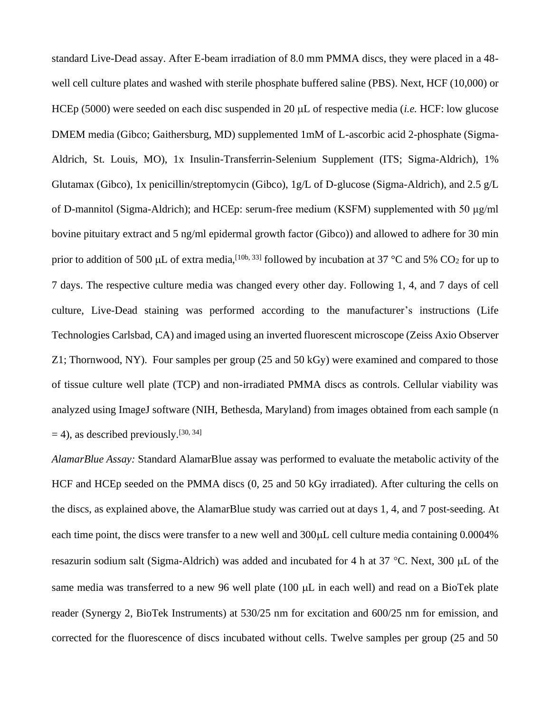standard Live-Dead assay. After E-beam irradiation of 8.0 mm PMMA discs, they were placed in a 48 well cell culture plates and washed with sterile phosphate buffered saline (PBS). Next, HCF (10,000) or HCEp (5000) were seeded on each disc suspended in 20  $\mu$ L of respective media *(i.e.* HCF: low glucose DMEM media (Gibco; Gaithersburg, MD) supplemented 1mM of L-ascorbic acid 2-phosphate (Sigma-Aldrich, St. Louis, MO), 1x Insulin-Transferrin-Selenium Supplement (ITS; Sigma-Aldrich), 1% Glutamax (Gibco), 1x penicillin/streptomycin (Gibco), 1g/L of D-glucose (Sigma-Aldrich), and 2.5 g/L of D-mannitol (Sigma-Aldrich); and HCEp: serum-free medium (KSFM) supplemented with 50 μg/ml bovine pituitary extract and 5 ng/ml epidermal growth factor (Gibco)) and allowed to adhere for 30 min prior to addition of 500  $\mu$ L of extra media,<sup>[10b, 33]</sup> followed by incubation at 37 °C and 5% CO<sub>2</sub> for up to 7 days. The respective culture media was changed every other day. Following 1, 4, and 7 days of cell culture, Live-Dead staining was performed according to the manufacturer's instructions (Life Technologies Carlsbad, CA) and imaged using an inverted fluorescent microscope (Zeiss Axio Observer Z1; Thornwood, NY). Four samples per group (25 and 50 kGy) were examined and compared to those of tissue culture well plate (TCP) and non-irradiated PMMA discs as controls. Cellular viability was analyzed using ImageJ software (NIH, Bethesda, Maryland) from images obtained from each sample (n  $=$  4), as described previously.<sup>[30, 34]</sup>

*AlamarBlue Assay:* Standard AlamarBlue assay was performed to evaluate the metabolic activity of the HCF and HCEp seeded on the PMMA discs (0, 25 and 50 kGy irradiated). After culturing the cells on the discs, as explained above, the AlamarBlue study was carried out at days 1, 4, and 7 post-seeding. At each time point, the discs were transfer to a new well and  $300\mu$ L cell culture media containing 0.0004% resazurin sodium salt (Sigma-Aldrich) was added and incubated for 4 h at  $37^{\circ}$ C. Next,  $300 \mu$ L of the same media was transferred to a new 96 well plate (100  $\mu$ L in each well) and read on a BioTek plate reader (Synergy 2, BioTek Instruments) at 530/25 nm for excitation and 600/25 nm for emission, and corrected for the fluorescence of discs incubated without cells. Twelve samples per group (25 and 50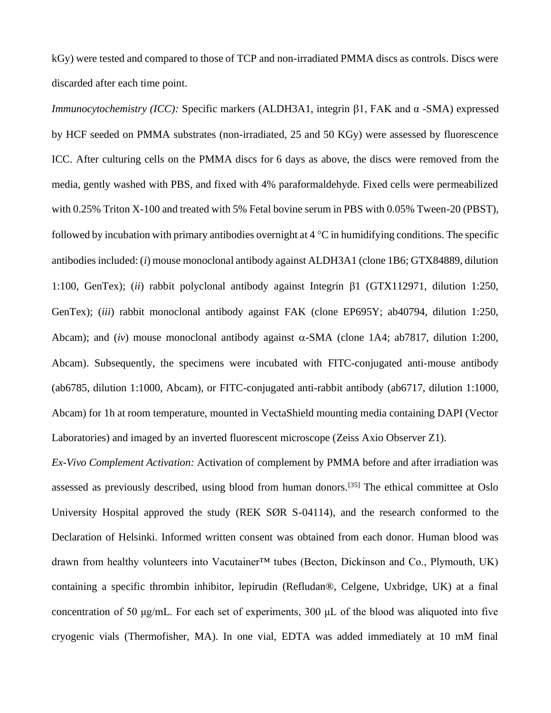kGy) were tested and compared to those of TCP and non-irradiated PMMA discs as controls. Discs were discarded after each time point.

*Immunocytochemistry (ICC):* Specific markers (ALDH3A1, integrin β1, FAK and α -SMA) expressed by HCF seeded on PMMA substrates (non-irradiated, 25 and 50 KGy) were assessed by fluorescence ICC. After culturing cells on the PMMA discs for 6 days as above, the discs were removed from the media, gently washed with PBS, and fixed with 4% paraformaldehyde. Fixed cells were permeabilized with 0.25% Triton X-100 and treated with 5% Fetal bovine serum in PBS with 0.05% Tween-20 (PBST), followed by incubation with primary antibodies overnight at  $4^{\circ}$ C in humidifying conditions. The specific antibodies included: (*i*) mouse monoclonal antibody against ALDH3A1 (clone 1B6; GTX84889, dilution 1:100, GenTex); *(ii)* rabbit polyclonal antibody against Integrin  $\beta$ 1 (GTX112971, dilution 1:250, GenTex); (*iii*) rabbit monoclonal antibody against FAK (clone EP695Y; ab40794, dilution 1:250, Abcam); and  $(iv)$  mouse monoclonal antibody against  $\alpha$ -SMA (clone 1A4; ab7817, dilution 1:200, Abcam). Subsequently, the specimens were incubated with FITC-conjugated anti-mouse antibody (ab6785, dilution 1:1000, Abcam), or FITC-conjugated anti-rabbit antibody (ab6717, dilution 1:1000, Abcam) for 1h at room temperature, mounted in VectaShield mounting media containing DAPI (Vector Laboratories) and imaged by an inverted fluorescent microscope (Zeiss Axio Observer Z1).

*Ex-Vivo Complement Activation:* Activation of complement by PMMA before and after irradiation was assessed as previously described, using blood from human donors.[35] The ethical committee at Oslo University Hospital approved the study (REK SØR S-04114), and the research conformed to the Declaration of Helsinki. Informed written consent was obtained from each donor. Human blood was drawn from healthy volunteers into Vacutainer™ tubes (Becton, Dickinson and Co., Plymouth, UK) containing a specific thrombin inhibitor, lepirudin (Refludan®, Celgene, Uxbridge, UK) at a final concentration of 50 μg/mL. For each set of experiments, 300 μL of the blood was aliquoted into five cryogenic vials (Thermofisher, MA). In one vial, EDTA was added immediately at 10 mM final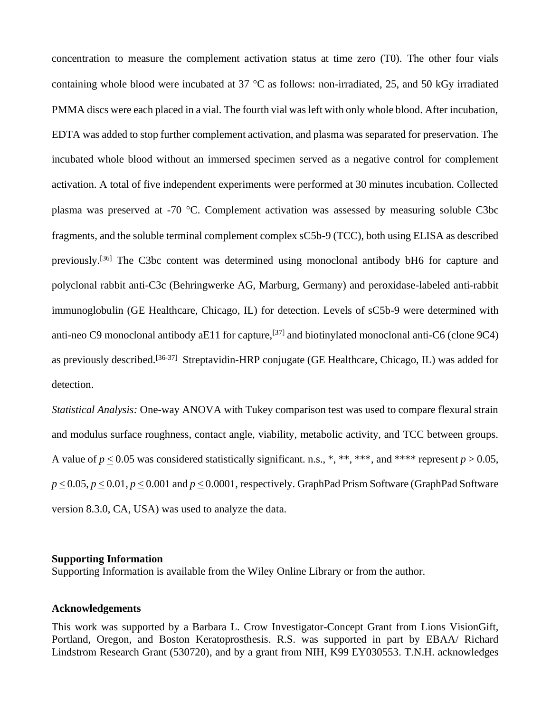concentration to measure the complement activation status at time zero (T0). The other four vials containing whole blood were incubated at 37  $^{\circ}$ C as follows: non-irradiated, 25, and 50 kGy irradiated PMMA discs were each placed in a vial. The fourth vial was left with only whole blood. After incubation, EDTA was added to stop further complement activation, and plasma was separated for preservation. The incubated whole blood without an immersed specimen served as a negative control for complement activation. A total of five independent experiments were performed at 30 minutes incubation. Collected plasma was preserved at -70  $^{\circ}$ C. Complement activation was assessed by measuring soluble C3bc fragments, and the soluble terminal complement complex sC5b-9 (TCC), both using ELISA as described previously.[36] The C3bc content was determined using monoclonal antibody bH6 for capture and polyclonal rabbit anti-C3c (Behringwerke AG, Marburg, Germany) and peroxidase-labeled anti-rabbit immunoglobulin (GE Healthcare, Chicago, IL) for detection. Levels of sC5b-9 were determined with anti-neo C9 monoclonal antibody aE11 for capture,[37] and biotinylated monoclonal anti-C6 (clone 9C4) as previously described.<sup>[36-37]</sup> Streptavidin-HRP conjugate (GE Healthcare, Chicago, IL) was added for detection.

*Statistical Analysis:* One-way ANOVA with Tukey comparison test was used to compare flexural strain and modulus surface roughness, contact angle, viability, metabolic activity, and TCC between groups. A value of  $p \le 0.05$  was considered statistically significant. n.s., \*, \*\*, \*\*\*, and \*\*\*\* represent  $p > 0.05$ ,  $p \le 0.05$ ,  $p \le 0.01$ ,  $p \le 0.001$  and  $p \le 0.0001$ , respectively. GraphPad Prism Software (GraphPad Software version 8.3.0, CA, USA) was used to analyze the data.

## **Supporting Information**

Supporting Information is available from the Wiley Online Library or from the author.

## **Acknowledgements**

This work was supported by a Barbara L. Crow Investigator-Concept Grant from Lions VisionGift, Portland, Oregon, and Boston Keratoprosthesis. R.S. was supported in part by EBAA/ Richard Lindstrom Research Grant (530720), and by a grant from NIH, K99 EY030553. T.N.H. acknowledges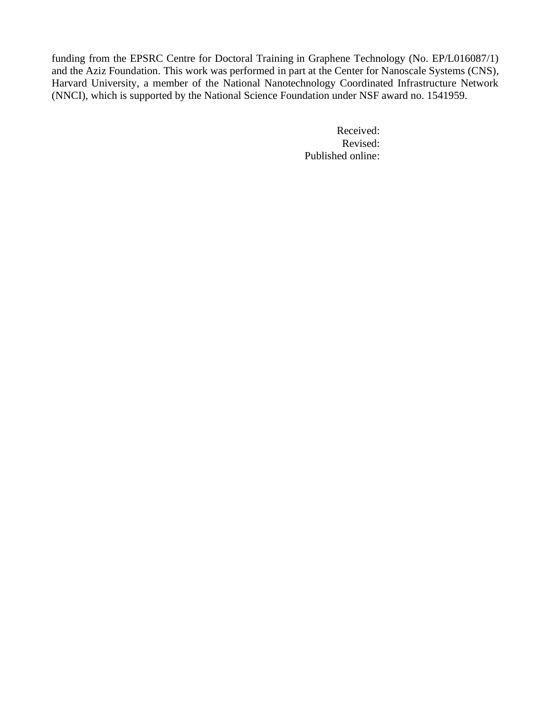funding from the EPSRC Centre for Doctoral Training in Graphene Technology (No. EP/L016087/1) and the Aziz Foundation. This work was performed in part at the Center for Nanoscale Systems (CNS), Harvard University, a member of the National Nanotechnology Coordinated Infrastructure Network (NNCI), which is supported by the National Science Foundation under NSF award no. 1541959.

> Received: Revised: Published online: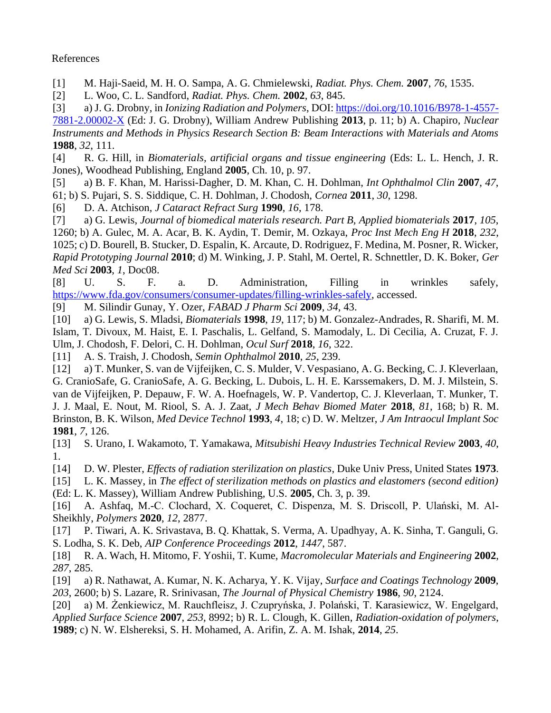## References

- [1] M. Haji-Saeid, M. H. O. Sampa, A. G. Chmielewski, *Radiat. Phys. Chem.* **2007**, *76*, 1535.
- [2] L. Woo, C. L. Sandford, *Radiat. Phys. Chem.* **2002**, *63*, 845.

[3] a) J. G. Drobny, in *Ionizing Radiation and Polymers*, DOI: [https://doi.org/10.1016/B978-1-4557-](https://doi.org/10.1016/B978-1-4557-7881-2.00002-X) [7881-2.00002-X](https://doi.org/10.1016/B978-1-4557-7881-2.00002-X) (Ed: J. G. Drobny), William Andrew Publishing **2013**, p. 11; b) A. Chapiro, *Nuclear* 

*Instruments and Methods in Physics Research Section B: Beam Interactions with Materials and Atoms* **1988**, *32*, 111.

[4] R. G. Hill, in *Biomaterials, artificial organs and tissue engineering* (Eds: L. L. Hench, J. R. Jones), Woodhead Publishing, England **2005**, Ch. 10, p. 97.

[5] a) B. F. Khan, M. Harissi-Dagher, D. M. Khan, C. H. Dohlman, *Int Ophthalmol Clin* **2007**, *47*, 61; b) S. Pujari, S. S. Siddique, C. H. Dohlman, J. Chodosh, *Cornea* **2011**, *30*, 1298.

[6] D. A. Atchison, *J Cataract Refract Surg* **1990**, *16*, 178.

[7] a) G. Lewis, *Journal of biomedical materials research. Part B, Applied biomaterials* **2017**, *105*, 1260; b) A. Gulec, M. A. Acar, B. K. Aydin, T. Demir, M. Ozkaya, *Proc Inst Mech Eng H* **2018**, *232*, 1025; c) D. Bourell, B. Stucker, D. Espalin, K. Arcaute, D. Rodriguez, F. Medina, M. Posner, R. Wicker, *Rapid Prototyping Journal* **2010**; d) M. Winking, J. P. Stahl, M. Oertel, R. Schnettler, D. K. Boker, *Ger Med Sci* **2003**, *1*, Doc08.

[8] U. S. F. a. D. Administration, Filling in wrinkles safely, [https://www.fda.gov/consumers/consumer-updates/filling-wrinkles-safely,](https://www.fda.gov/consumers/consumer-updates/filling-wrinkles-safely) accessed.

[9] M. Silindir Gunay, Y. Ozer, *FABAD J Pharm Sci* **2009**, *34*, 43.

[10] a) G. Lewis, S. Mladsi, *Biomaterials* **1998**, *19*, 117; b) M. Gonzalez-Andrades, R. Sharifi, M. M.

Islam, T. Divoux, M. Haist, E. I. Paschalis, L. Gelfand, S. Mamodaly, L. Di Cecilia, A. Cruzat, F. J. Ulm, J. Chodosh, F. Delori, C. H. Dohlman, *Ocul Surf* **2018**, *16*, 322.

[11] A. S. Traish, J. Chodosh, *Semin Ophthalmol* **2010**, *25*, 239.

[12] a) T. Munker, S. van de Vijfeijken, C. S. Mulder, V. Vespasiano, A. G. Becking, C. J. Kleverlaan, G. CranioSafe, G. CranioSafe, A. G. Becking, L. Dubois, L. H. E. Karssemakers, D. M. J. Milstein, S. van de Vijfeijken, P. Depauw, F. W. A. Hoefnagels, W. P. Vandertop, C. J. Kleverlaan, T. Munker, T. J. J. Maal, E. Nout, M. Riool, S. A. J. Zaat, *J Mech Behav Biomed Mater* **2018**, *81*, 168; b) R. M. Brinston, B. K. Wilson, *Med Device Technol* **1993**, *4*, 18; c) D. W. Meltzer, *J Am Intraocul Implant Soc* **1981**, *7*, 126.

[13] S. Urano, I. Wakamoto, T. Yamakawa, *Mitsubishi Heavy Industries Technical Review* **2003**, *40*, 1.

[14] D. W. Plester, *Effects of radiation sterilization on plastics*, Duke Univ Press, United States **1973**.

[15] L. K. Massey, in *The effect of sterilization methods on plastics and elastomers (second edition)*

(Ed: L. K. Massey), William Andrew Publishing, U.S. **2005**, Ch. 3, p. 39.

[16] A. Ashfaq, M.-C. Clochard, X. Coqueret, C. Dispenza, M. S. Driscoll, P. Ulański, M. Al-Sheikhly, *Polymers* **2020**, *12*, 2877.

[17] P. Tiwari, A. K. Srivastava, B. Q. Khattak, S. Verma, A. Upadhyay, A. K. Sinha, T. Ganguli, G. S. Lodha, S. K. Deb, *AIP Conference Proceedings* **2012**, *1447*, 587.

[18] R. A. Wach, H. Mitomo, F. Yoshii, T. Kume, *Macromolecular Materials and Engineering* **2002**, *287*, 285.

[19] a) R. Nathawat, A. Kumar, N. K. Acharya, Y. K. Vijay, *Surface and Coatings Technology* **2009**, *203*, 2600; b) S. Lazare, R. Srinivasan, *The Journal of Physical Chemistry* **1986**, *90*, 2124.

[20] a) M. Żenkiewicz, M. Rauchfleisz, J. Czupryńska, J. Polański, T. Karasiewicz, W. Engelgard, *Applied Surface Science* **2007**, *253*, 8992; b) R. L. Clough, K. Gillen, *Radiation-oxidation of polymers*, **1989**; c) N. W. Elshereksi, S. H. Mohamed, A. Arifin, Z. A. M. Ishak, **2014**, *25*.